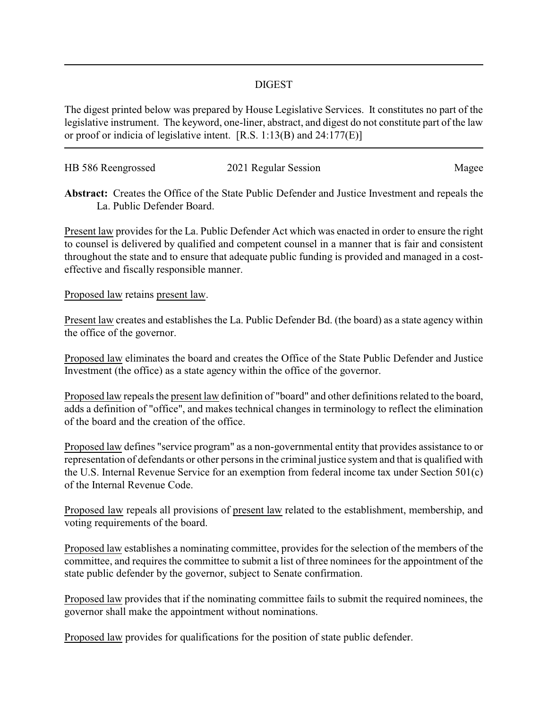## DIGEST

The digest printed below was prepared by House Legislative Services. It constitutes no part of the legislative instrument. The keyword, one-liner, abstract, and digest do not constitute part of the law or proof or indicia of legislative intent. [R.S. 1:13(B) and 24:177(E)]

| HB 586 Reengrossed | 2021 Regular Session | Magee |
|--------------------|----------------------|-------|
|                    |                      |       |

**Abstract:** Creates the Office of the State Public Defender and Justice Investment and repeals the La. Public Defender Board.

Present law provides for the La. Public Defender Act which was enacted in order to ensure the right to counsel is delivered by qualified and competent counsel in a manner that is fair and consistent throughout the state and to ensure that adequate public funding is provided and managed in a costeffective and fiscally responsible manner.

## Proposed law retains present law.

Present law creates and establishes the La. Public Defender Bd. (the board) as a state agency within the office of the governor.

Proposed law eliminates the board and creates the Office of the State Public Defender and Justice Investment (the office) as a state agency within the office of the governor.

Proposed law repeals the present law definition of "board" and other definitions related to the board, adds a definition of "office", and makes technical changes in terminology to reflect the elimination of the board and the creation of the office.

Proposed law defines "service program" as a non-governmental entity that provides assistance to or representation of defendants or other persons in the criminal justice system and that is qualified with the U.S. Internal Revenue Service for an exemption from federal income tax under Section 501(c) of the Internal Revenue Code.

Proposed law repeals all provisions of present law related to the establishment, membership, and voting requirements of the board.

Proposed law establishes a nominating committee, provides for the selection of the members of the committee, and requires the committee to submit a list of three nominees for the appointment of the state public defender by the governor, subject to Senate confirmation.

Proposed law provides that if the nominating committee fails to submit the required nominees, the governor shall make the appointment without nominations.

Proposed law provides for qualifications for the position of state public defender.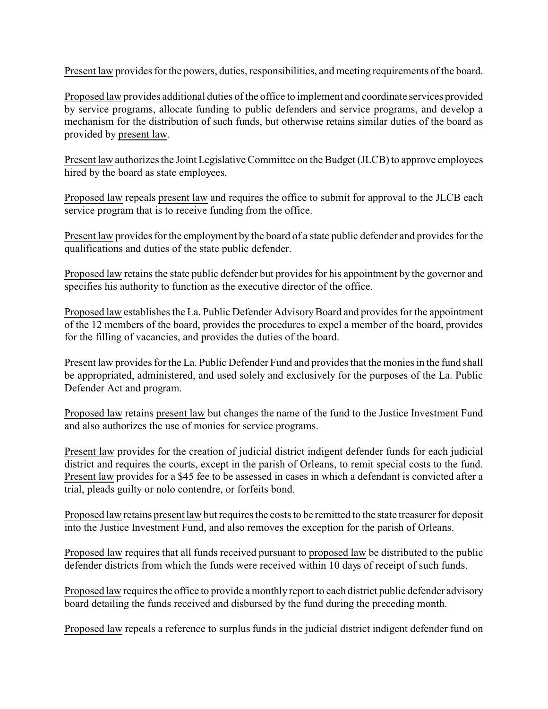Present law provides for the powers, duties, responsibilities, and meeting requirements of the board.

Proposed law provides additional duties of the office to implement and coordinate services provided by service programs, allocate funding to public defenders and service programs, and develop a mechanism for the distribution of such funds, but otherwise retains similar duties of the board as provided by present law.

Present law authorizes the Joint Legislative Committee on the Budget (JLCB) to approve employees hired by the board as state employees.

Proposed law repeals present law and requires the office to submit for approval to the JLCB each service program that is to receive funding from the office.

Present law provides for the employment by the board of a state public defender and provides for the qualifications and duties of the state public defender.

Proposed law retains the state public defender but provides for his appointment by the governor and specifies his authority to function as the executive director of the office.

Proposed law establishes the La. Public Defender AdvisoryBoard and provides for the appointment of the 12 members of the board, provides the procedures to expel a member of the board, provides for the filling of vacancies, and provides the duties of the board.

Present law provides for the La. Public Defender Fund and provides that the monies in the fund shall be appropriated, administered, and used solely and exclusively for the purposes of the La. Public Defender Act and program.

Proposed law retains present law but changes the name of the fund to the Justice Investment Fund and also authorizes the use of monies for service programs.

Present law provides for the creation of judicial district indigent defender funds for each judicial district and requires the courts, except in the parish of Orleans, to remit special costs to the fund. Present law provides for a \$45 fee to be assessed in cases in which a defendant is convicted after a trial, pleads guilty or nolo contendre, or forfeits bond.

Proposed law retains present law but requires the costs to be remitted to the state treasurer for deposit into the Justice Investment Fund, and also removes the exception for the parish of Orleans.

Proposed law requires that all funds received pursuant to proposed law be distributed to the public defender districts from which the funds were received within 10 days of receipt of such funds.

Proposed law requires the office to provide a monthly report to each district public defender advisory board detailing the funds received and disbursed by the fund during the preceding month.

Proposed law repeals a reference to surplus funds in the judicial district indigent defender fund on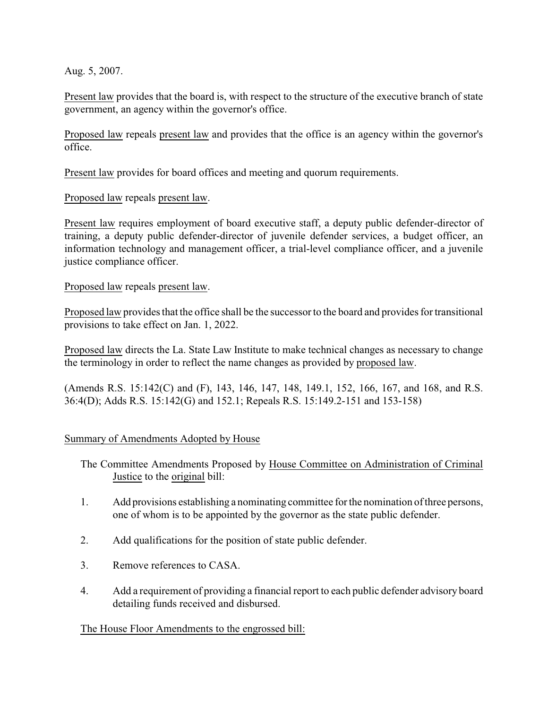Aug. 5, 2007.

Present law provides that the board is, with respect to the structure of the executive branch of state government, an agency within the governor's office.

Proposed law repeals present law and provides that the office is an agency within the governor's office.

Present law provides for board offices and meeting and quorum requirements.

Proposed law repeals present law.

Present law requires employment of board executive staff, a deputy public defender-director of training, a deputy public defender-director of juvenile defender services, a budget officer, an information technology and management officer, a trial-level compliance officer, and a juvenile justice compliance officer.

Proposed law repeals present law.

Proposed law provides that the office shall be the successor to the board and provides for transitional provisions to take effect on Jan. 1, 2022.

Proposed law directs the La. State Law Institute to make technical changes as necessary to change the terminology in order to reflect the name changes as provided by proposed law.

(Amends R.S. 15:142(C) and (F), 143, 146, 147, 148, 149.1, 152, 166, 167, and 168, and R.S. 36:4(D); Adds R.S. 15:142(G) and 152.1; Repeals R.S. 15:149.2-151 and 153-158)

## Summary of Amendments Adopted by House

- The Committee Amendments Proposed by House Committee on Administration of Criminal Justice to the original bill:
- 1. Add provisions establishing a nominating committee for the nomination of three persons, one of whom is to be appointed by the governor as the state public defender.
- 2. Add qualifications for the position of state public defender.
- 3. Remove references to CASA.
- 4. Add a requirement of providing a financial report to each public defender advisory board detailing funds received and disbursed.

## The House Floor Amendments to the engrossed bill: